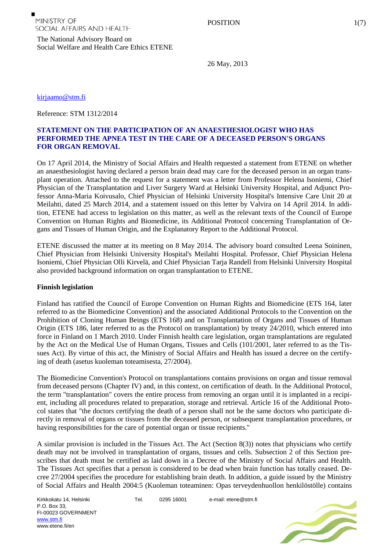The National Advisory Board on Social Welfare and Health Care Ethics ETENE

26 May, 2013

[kirjaamo@stm.fi](mailto:kirjaamo@stm.fi)

Reference: STM 1312/2014

# **STATEMENT ON THE PARTICIPATION OF AN ANAESTHESIOLOGIST WHO HAS PERFORMED THE APNEA TEST IN THE CARE OF A DECEASED PERSON'S ORGANS FOR ORGAN REMOVAL**

On 17 April 2014, the Ministry of Social Affairs and Health requested a statement from ETENE on whether an anaesthesiologist having declared a person brain dead may care for the deceased person in an organ transplant operation. Attached to the request for a statement was a letter from Professor Helena Isoniemi, Chief Physician of the Transplantation and Liver Surgery Ward at Helsinki University Hospital, and Adjunct Professor Anna-Maria Koivusalo, Chief Physician of Helsinki University Hospital's Intensive Care Unit 20 at Meilahti, dated 25 March 2014, and a statement issued on this letter by Valvira on 14 April 2014. In addition, ETENE had access to legislation on this matter, as well as the relevant texts of the Council of Europe Convention on Human Rights and Biomedicine, its Additional Protocol concerning Transplantation of Organs and Tissues of Human Origin, and the Explanatory Report to the Additional Protocol.

ETENE discussed the matter at its meeting on 8 May 2014. The advisory board consulted Leena Soininen, Chief Physician from Helsinki University Hospital's Meilahti Hospital. Professor, Chief Physician Helena Isoniemi, Chief Physician Olli Kirvelä, and Chief Physician Tarja Randell from Helsinki University Hospital also provided background information on organ transplantation to ETENE.

### **Finnish legislation**

Finland has ratified the Council of Europe Convention on Human Rights and Biomedicine (ETS 164, later referred to as the Biomedicine Convention) and the associated Additional Protocols to the Convention on the Prohibition of Cloning Human Beings (ETS 168) and on Transplantation of Organs and Tissues of Human Origin (ETS 186, later referred to as the Protocol on transplantation) by treaty 24/2010, which entered into force in Finland on 1 March 2010. Under Finnish health care legislation, organ transplantations are regulated by the Act on the Medical Use of Human Organs, Tissues and Cells (101/2001, later referred to as the Tissues Act). By virtue of this act, the Ministry of Social Affairs and Health has issued a decree on the certifying of death (asetus kuoleman toteamisesta, 27/2004).

The Biomedicine Convention's Protocol on transplantations contains provisions on organ and tissue removal from deceased persons (Chapter IV) and, in this context, on certification of death. In the Additional Protocol, the term "transplantation" covers the entire process from removing an organ until it is implanted in a recipient, including all procedures related to preparation, storage and retrieval. Article 16 of the Additional Protocol states that "the doctors certifying the death of a person shall not be the same doctors who participate directly in removal of organs or tissues from the deceased person, or subsequent transplantation procedures, or having responsibilities for the care of potential organ or tissue recipients."

A similar provision is included in the Tissues Act. The Act (Section 8(3)) notes that physicians who certify death may not be involved in transplantation of organs, tissues and cells. Subsection 2 of this Section prescribes that death must be certified as laid down in a Decree of the Ministry of Social Affairs and Health. The Tissues Act specifies that a person is considered to be dead when brain function has totally ceased. Decree 27/2004 specifies the procedure for establishing brain death. In addition, a guide issued by the Ministry of Social Affairs and Health 2004:5 (Kuoleman toteaminen: Opas terveydenhuollon henkilöstölle) contains

Kirkkokatu 14, Helsinki P.O. Box 33, FI-00023 GOVERNMENT [www.stm.fi](http://www.stm.fi/) www.etene.fi/en

Tel. 0295 16001 e-mail: etene@stm.fi

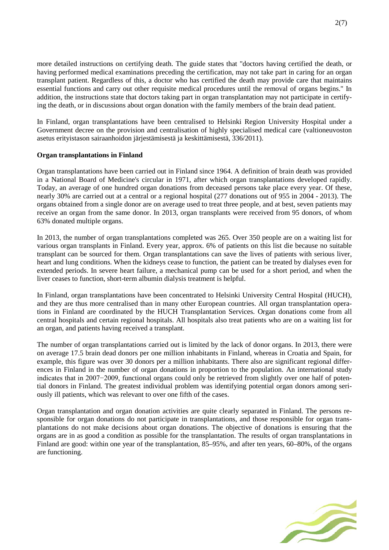more detailed instructions on certifying death. The guide states that "doctors having certified the death, or having performed medical examinations preceding the certification, may not take part in caring for an organ transplant patient. Regardless of this, a doctor who has certified the death may provide care that maintains essential functions and carry out other requisite medical procedures until the removal of organs begins." In addition, the instructions state that doctors taking part in organ transplantation may not participate in certifying the death, or in discussions about organ donation with the family members of the brain dead patient.

In Finland, organ transplantations have been centralised to Helsinki Region University Hospital under a Government decree on the provision and centralisation of highly specialised medical care (valtioneuvoston asetus erityistason sairaanhoidon järjestämisestä ja keskittämisestä, 336/2011).

# **Organ transplantations in Finland**

Organ transplantations have been carried out in Finland since 1964. A definition of brain death was provided in a National Board of Medicine's circular in 1971, after which organ transplantations developed rapidly. Today, an average of one hundred organ donations from deceased persons take place every year. Of these, nearly 30% are carried out at a central or a regional hospital (277 donations out of 955 in 2004 - 2013). The organs obtained from a single donor are on average used to treat three people, and at best, seven patients may receive an organ from the same donor. In 2013, organ transplants were received from 95 donors, of whom 63% donated multiple organs.

In 2013, the number of organ transplantations completed was 265. Over 350 people are on a waiting list for various organ transplants in Finland. Every year, approx. 6% of patients on this list die because no suitable transplant can be sourced for them. Organ transplantations can save the lives of patients with serious liver, heart and lung conditions. When the kidneys cease to function, the patient can be treated by dialyses even for extended periods. In severe heart failure, a mechanical pump can be used for a short period, and when the liver ceases to function, short-term albumin dialysis treatment is helpful.

In Finland, organ transplantations have been concentrated to Helsinki University Central Hospital (HUCH), and they are thus more centralised than in many other European countries. All organ transplantation operations in Finland are coordinated by the HUCH Transplantation Services. Organ donations come from all central hospitals and certain regional hospitals. All hospitals also treat patients who are on a waiting list for an organ, and patients having received a transplant.

The number of organ transplantations carried out is limited by the lack of donor organs. In 2013, there were on average 17.5 brain dead donors per one million inhabitants in Finland, whereas in Croatia and Spain, for example, this figure was over 30 donors per a million inhabitants. There also are significant regional differences in Finland in the number of organ donations in proportion to the population. An international study indicates that in 2007−2009, functional organs could only be retrieved from slightly over one half of potential donors in Finland. The greatest individual problem was identifying potential organ donors among seriously ill patients, which was relevant to over one fifth of the cases.

Organ transplantation and organ donation activities are quite clearly separated in Finland. The persons responsible for organ donations do not participate in transplantations, and those responsible for organ transplantations do not make decisions about organ donations. The objective of donations is ensuring that the organs are in as good a condition as possible for the transplantation. The results of organ transplantations in Finland are good: within one year of the transplantation, 85–95%, and after ten years, 60–80%, of the organs are functioning.

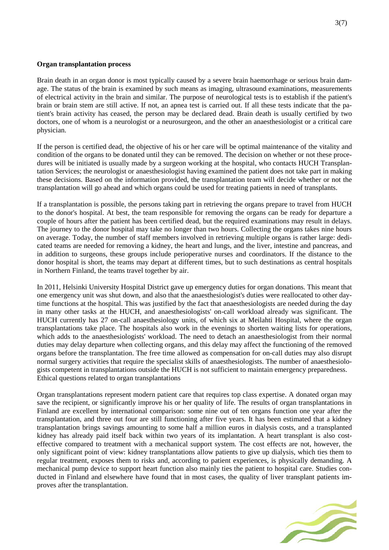### **Organ transplantation process**

Brain death in an organ donor is most typically caused by a severe brain haemorrhage or serious brain damage. The status of the brain is examined by such means as imaging, ultrasound examinations, measurements of electrical activity in the brain and similar. The purpose of neurological tests is to establish if the patient's brain or brain stem are still active. If not, an apnea test is carried out. If all these tests indicate that the patient's brain activity has ceased, the person may be declared dead. Brain death is usually certified by two doctors, one of whom is a neurologist or a neurosurgeon, and the other an anaesthesiologist or a critical care physician.

If the person is certified dead, the objective of his or her care will be optimal maintenance of the vitality and condition of the organs to be donated until they can be removed. The decision on whether or not these procedures will be initiated is usually made by a surgeon working at the hospital, who contacts HUCH Transplantation Services; the neurologist or anaesthesiologist having examined the patient does not take part in making these decisions. Based on the information provided, the transplantation team will decide whether or not the transplantation will go ahead and which organs could be used for treating patients in need of transplants.

If a transplantation is possible, the persons taking part in retrieving the organs prepare to travel from HUCH to the donor's hospital. At best, the team responsible for removing the organs can be ready for departure a couple of hours after the patient has been certified dead, but the required examinations may result in delays. The journey to the donor hospital may take no longer than two hours. Collecting the organs takes nine hours on average. Today, the number of staff members involved in retrieving multiple organs is rather large: dedicated teams are needed for removing a kidney, the heart and lungs, and the liver, intestine and pancreas, and in addition to surgeons, these groups include perioperative nurses and coordinators. If the distance to the donor hospital is short, the teams may depart at different times, but to such destinations as central hospitals in Northern Finland, the teams travel together by air.

In 2011, Helsinki University Hospital District gave up emergency duties for organ donations. This meant that one emergency unit was shut down, and also that the anaesthesiologist's duties were reallocated to other daytime functions at the hospital. This was justified by the fact that anaesthesiologists are needed during the day in many other tasks at the HUCH, and anaesthesiologists' on-call workload already was significant. The HUCH currently has 27 on-call anaesthesiology units, of which six at Meilahti Hospital, where the organ transplantations take place. The hospitals also work in the evenings to shorten waiting lists for operations, which adds to the anaesthesiologists' workload. The need to detach an anaesthesiologist from their normal duties may delay departure when collecting organs, and this delay may affect the functioning of the removed organs before the transplantation. The free time allowed as compensation for on-call duties may also disrupt normal surgery activities that require the specialist skills of anaesthesiologists. The number of anaesthesiologists competent in transplantations outside the HUCH is not sufficient to maintain emergency preparedness. Ethical questions related to organ transplantations

Organ transplantations represent modern patient care that requires top class expertise. A donated organ may save the recipient, or significantly improve his or her quality of life. The results of organ transplantations in Finland are excellent by international comparison: some nine out of ten organs function one year after the transplantation, and three out four are still functioning after five years. It has been estimated that a kidney transplantation brings savings amounting to some half a million euros in dialysis costs, and a transplanted kidney has already paid itself back within two years of its implantation. A heart transplant is also costeffective compared to treatment with a mechanical support system. The cost effects are not, however, the only significant point of view: kidney transplantations allow patients to give up dialysis, which ties them to regular treatment, exposes them to risks and, according to patient experiences, is physically demanding. A mechanical pump device to support heart function also mainly ties the patient to hospital care. Studies conducted in Finland and elsewhere have found that in most cases, the quality of liver transplant patients improves after the transplantation.

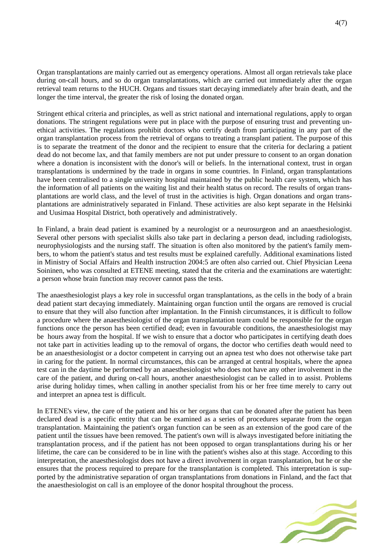Organ transplantations are mainly carried out as emergency operations. Almost all organ retrievals take place during on-call hours, and so do organ transplantations, which are carried out immediately after the organ retrieval team returns to the HUCH. Organs and tissues start decaying immediately after brain death, and the longer the time interval, the greater the risk of losing the donated organ.

Stringent ethical criteria and principles, as well as strict national and international regulations, apply to organ donations. The stringent regulations were put in place with the purpose of ensuring trust and preventing unethical activities. The regulations prohibit doctors who certify death from participating in any part of the organ transplantation process from the retrieval of organs to treating a transplant patient. The purpose of this is to separate the treatment of the donor and the recipient to ensure that the criteria for declaring a patient dead do not become lax, and that family members are not put under pressure to consent to an organ donation where a donation is inconsistent with the donor's will or beliefs. In the international context, trust in organ transplantations is undermined by the trade in organs in some countries. In Finland, organ transplantations have been centralised to a single university hospital maintained by the public health care system, which has the information of all patients on the waiting list and their health status on record. The results of organ transplantations are world class, and the level of trust in the activities is high. Organ donations and organ transplantations are administratively separated in Finland. These activities are also kept separate in the Helsinki and Uusimaa Hospital District, both operatively and administratively.

In Finland, a brain dead patient is examined by a neurologist or a neurosurgeon and an anaesthesiologist. Several other persons with specialist skills also take part in declaring a person dead, including radiologists, neurophysiologists and the nursing staff. The situation is often also monitored by the patient's family members, to whom the patient's status and test results must be explained carefully. Additional examinations listed in Ministry of Social Affairs and Health instruction 2004:5 are often also carried out. Chief Physician Leena Soininen, who was consulted at ETENE meeting, stated that the criteria and the examinations are watertight: a person whose brain function may recover cannot pass the tests.

The anaesthesiologist plays a key role in successful organ transplantations, as the cells in the body of a brain dead patient start decaying immediately. Maintaining organ function until the organs are removed is crucial to ensure that they will also function after implantation. In the Finnish circumstances, it is difficult to follow a procedure where the anaesthesiologist of the organ transplantation team could be responsible for the organ functions once the person has been certified dead; even in favourable conditions, the anaesthesiologist may be hours away from the hospital. If we wish to ensure that a doctor who participates in certifying death does not take part in activities leading up to the removal of organs, the doctor who certifies death would need to be an anaesthesiologist or a doctor competent in carrying out an apnea test who does not otherwise take part in caring for the patient. In normal circumstances, this can be arranged at central hospitals, where the apnea test can in the daytime be performed by an anaesthesiologist who does not have any other involvement in the care of the patient, and during on-call hours, another anaesthesiologist can be called in to assist. Problems arise during holiday times, when calling in another specialist from his or her free time merely to carry out and interpret an apnea test is difficult.

In ETENE's view, the care of the patient and his or her organs that can be donated after the patient has been declared dead is a specific entity that can be examined as a series of procedures separate from the organ transplantation. Maintaining the patient's organ function can be seen as an extension of the good care of the patient until the tissues have been removed. The patient's own will is always investigated before initiating the transplantation process, and if the patient has not been opposed to organ transplantations during his or her lifetime, the care can be considered to be in line with the patient's wishes also at this stage. According to this interpretation, the anaesthesiologist does not have a direct involvement in organ transplantation, but he or she ensures that the process required to prepare for the transplantation is completed. This interpretation is supported by the administrative separation of organ transplantations from donations in Finland, and the fact that the anaesthesiologist on call is an employee of the donor hospital throughout the process.

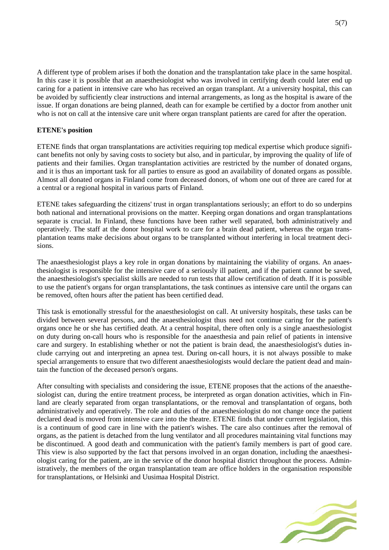A different type of problem arises if both the donation and the transplantation take place in the same hospital. In this case it is possible that an anaesthesiologist who was involved in certifying death could later end up caring for a patient in intensive care who has received an organ transplant. At a university hospital, this can be avoided by sufficiently clear instructions and internal arrangements, as long as the hospital is aware of the issue. If organ donations are being planned, death can for example be certified by a doctor from another unit who is not on call at the intensive care unit where organ transplant patients are cared for after the operation.

# **ETENE's position**

ETENE finds that organ transplantations are activities requiring top medical expertise which produce significant benefits not only by saving costs to society but also, and in particular, by improving the quality of life of patients and their families. Organ transplantation activities are restricted by the number of donated organs, and it is thus an important task for all parties to ensure as good an availability of donated organs as possible. Almost all donated organs in Finland come from deceased donors, of whom one out of three are cared for at a central or a regional hospital in various parts of Finland.

ETENE takes safeguarding the citizens' trust in organ transplantations seriously; an effort to do so underpins both national and international provisions on the matter. Keeping organ donations and organ transplantations separate is crucial. In Finland, these functions have been rather well separated, both administratively and operatively. The staff at the donor hospital work to care for a brain dead patient, whereas the organ transplantation teams make decisions about organs to be transplanted without interfering in local treatment decisions.

The anaesthesiologist plays a key role in organ donations by maintaining the viability of organs. An anaesthesiologist is responsible for the intensive care of a seriously ill patient, and if the patient cannot be saved, the anaesthesiologist's specialist skills are needed to run tests that allow certification of death. If it is possible to use the patient's organs for organ transplantations, the task continues as intensive care until the organs can be removed, often hours after the patient has been certified dead.

This task is emotionally stressful for the anaesthesiologist on call. At university hospitals, these tasks can be divided between several persons, and the anaesthesiologist thus need not continue caring for the patient's organs once he or she has certified death. At a central hospital, there often only is a single anaesthesiologist on duty during on-call hours who is responsible for the anaesthesia and pain relief of patients in intensive care and surgery. In establishing whether or not the patient is brain dead, the anaesthesiologist's duties include carrying out and interpreting an apnea test. During on-call hours, it is not always possible to make special arrangements to ensure that two different anaesthesiologists would declare the patient dead and maintain the function of the deceased person's organs.

After consulting with specialists and considering the issue, ETENE proposes that the actions of the anaesthesiologist can, during the entire treatment process, be interpreted as organ donation activities, which in Finland are clearly separated from organ transplantations, or the removal and transplantation of organs, both administratively and operatively. The role and duties of the anaesthesiologist do not change once the patient declared dead is moved from intensive care into the theatre. ETENE finds that under current legislation, this is a continuum of good care in line with the patient's wishes. The care also continues after the removal of organs, as the patient is detached from the lung ventilator and all procedures maintaining vital functions may be discontinued. A good death and communication with the patient's family members is part of good care. This view is also supported by the fact that persons involved in an organ donation, including the anaesthesiologist caring for the patient, are in the service of the donor hospital district throughout the process. Administratively, the members of the organ transplantation team are office holders in the organisation responsible for transplantations, or Helsinki and Uusimaa Hospital District.

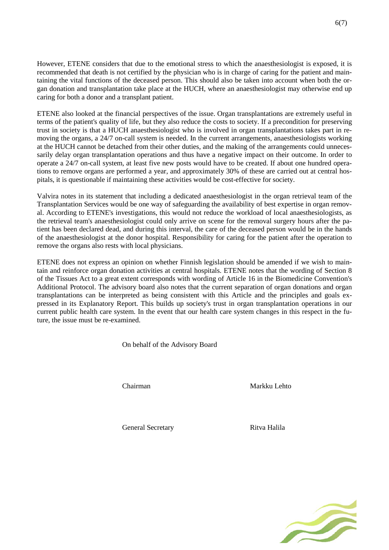However, ETENE considers that due to the emotional stress to which the anaesthesiologist is exposed, it is recommended that death is not certified by the physician who is in charge of caring for the patient and maintaining the vital functions of the deceased person. This should also be taken into account when both the organ donation and transplantation take place at the HUCH, where an anaesthesiologist may otherwise end up caring for both a donor and a transplant patient.

ETENE also looked at the financial perspectives of the issue. Organ transplantations are extremely useful in terms of the patient's quality of life, but they also reduce the costs to society. If a precondition for preserving trust in society is that a HUCH anaesthesiologist who is involved in organ transplantations takes part in removing the organs, a 24/7 on-call system is needed. In the current arrangements, anaesthesiologists working at the HUCH cannot be detached from their other duties, and the making of the arrangements could unnecessarily delay organ transplantation operations and thus have a negative impact on their outcome. In order to operate a 24/7 on-call system, at least five new posts would have to be created. If about one hundred operations to remove organs are performed a year, and approximately 30% of these are carried out at central hospitals, it is questionable if maintaining these activities would be cost-effective for society.

Valvira notes in its statement that including a dedicated anaesthesiologist in the organ retrieval team of the Transplantation Services would be one way of safeguarding the availability of best expertise in organ removal. According to ETENE's investigations, this would not reduce the workload of local anaesthesiologists, as the retrieval team's anaesthesiologist could only arrive on scene for the removal surgery hours after the patient has been declared dead, and during this interval, the care of the deceased person would be in the hands of the anaesthesiologist at the donor hospital. Responsibility for caring for the patient after the operation to remove the organs also rests with local physicians.

ETENE does not express an opinion on whether Finnish legislation should be amended if we wish to maintain and reinforce organ donation activities at central hospitals. ETENE notes that the wording of Section 8 of the Tissues Act to a great extent corresponds with wording of Article 16 in the Biomedicine Convention's Additional Protocol. The advisory board also notes that the current separation of organ donations and organ transplantations can be interpreted as being consistent with this Article and the principles and goals expressed in its Explanatory Report. This builds up society's trust in organ transplantation operations in our current public health care system. In the event that our health care system changes in this respect in the future, the issue must be re-examined.

On behalf of the Advisory Board

Chairman Markku Lehto

General Secretary **Ritva Halila**